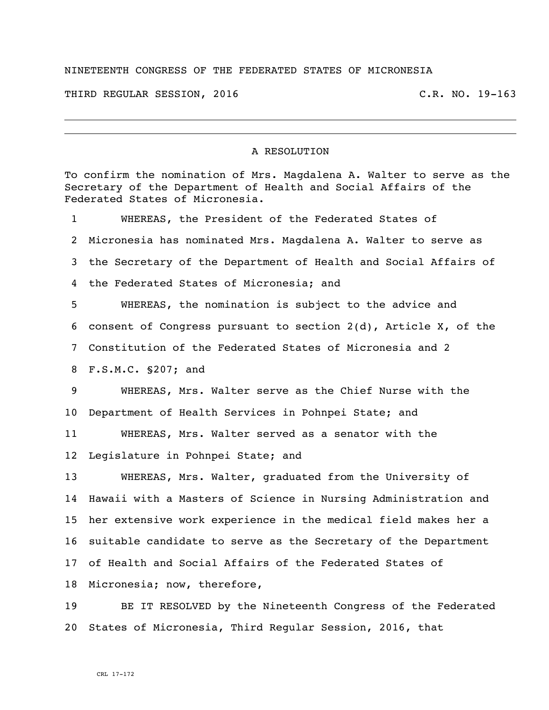## NINETEENTH CONGRESS OF THE FEDERATED STATES OF MICRONESIA

THIRD REGULAR SESSION, 2016 C.R. NO. 19-163

## A RESOLUTION

To confirm the nomination of Mrs. Magdalena A. Walter to serve as the Secretary of the Department of Health and Social Affairs of the Federated States of Micronesia. WHEREAS, the President of the Federated States of Micronesia has nominated Mrs. Magdalena A. Walter to serve as the Secretary of the Department of Health and Social Affairs of the Federated States of Micronesia; and WHEREAS, the nomination is subject to the advice and consent of Congress pursuant to section 2(d), Article X, of the Constitution of the Federated States of Micronesia and 2 F.S.M.C. §207; and WHEREAS, Mrs. Walter serve as the Chief Nurse with the Department of Health Services in Pohnpei State; and WHEREAS, Mrs. Walter served as a senator with the Legislature in Pohnpei State; and WHEREAS, Mrs. Walter, graduated from the University of Hawaii with a Masters of Science in Nursing Administration and her extensive work experience in the medical field makes her a suitable candidate to serve as the Secretary of the Department of Health and Social Affairs of the Federated States of Micronesia; now, therefore, BE IT RESOLVED by the Nineteenth Congress of the Federated States of Micronesia, Third Regular Session, 2016, that

CRL 17-172